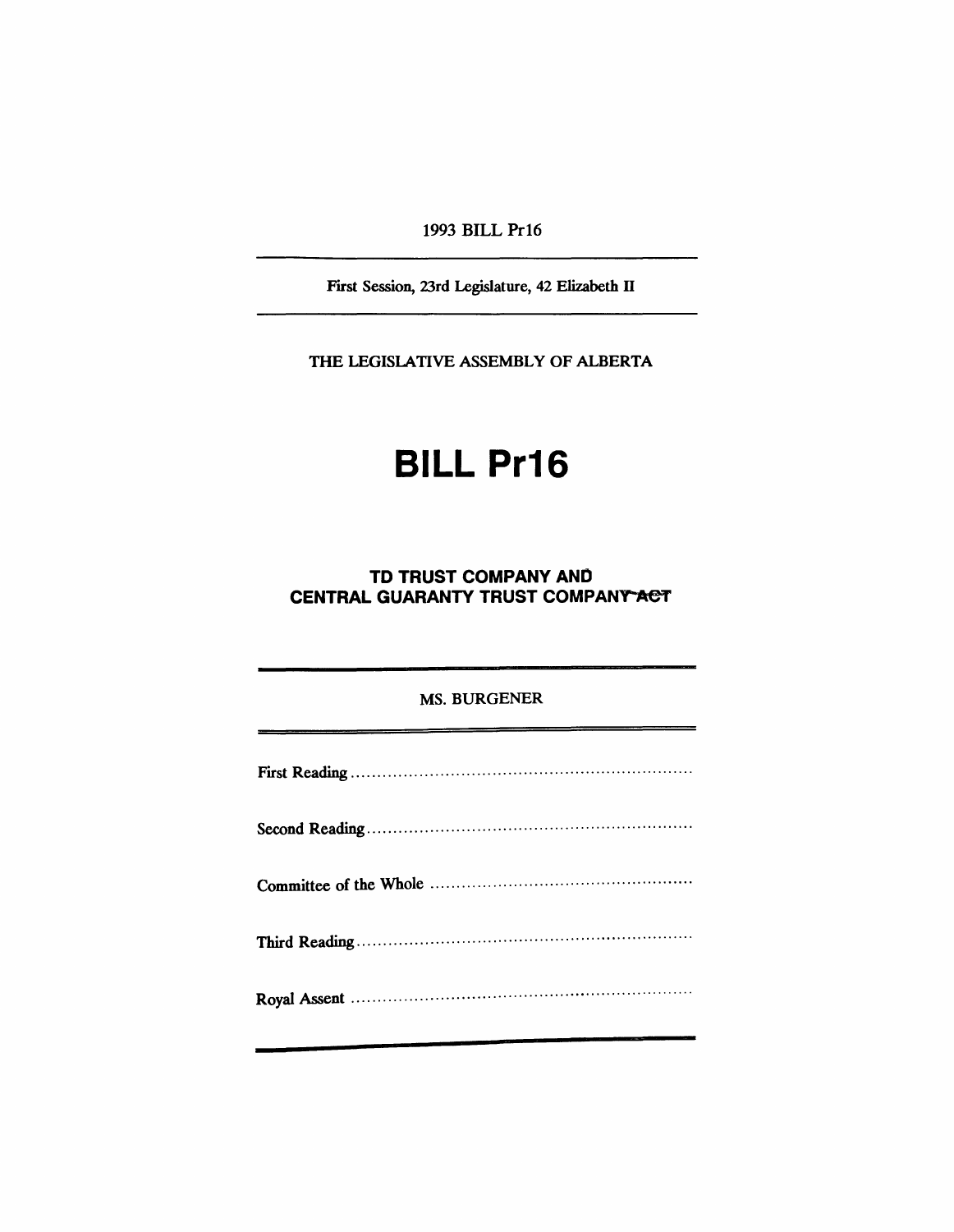1993 BILL Pr16

First Session, 23rd Legislature, 42 Elizabeth II

THE LEGISlATIVE ASSEMBLY OF ALBERTA

# **BILL Pr16**

### **TO TRUST COMPANY AND CENTRAL GUARANTY TRUST COMPANY ACT**

#### MS. BURGENER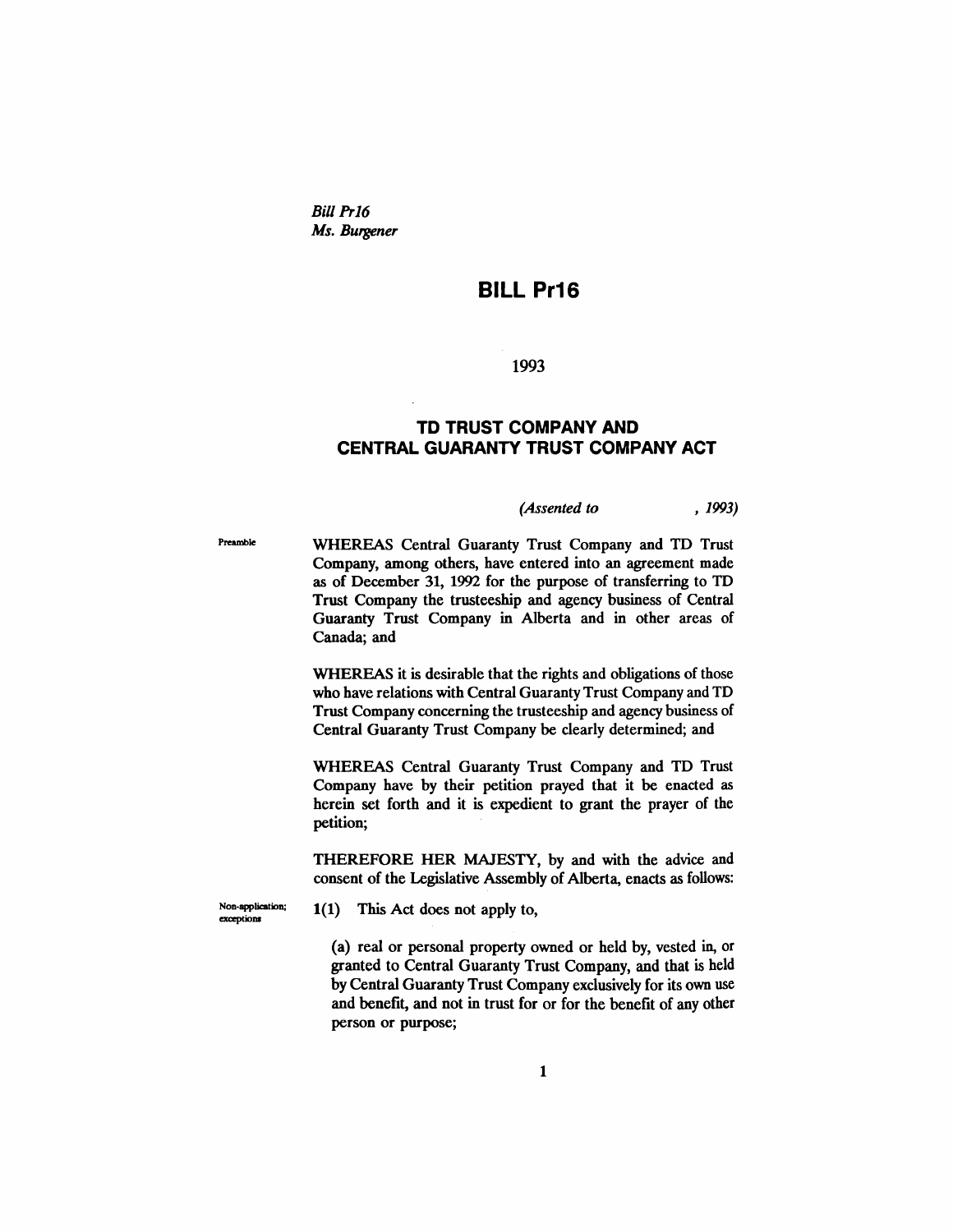Bill Pr16 *Ms. Burgener*

## **BILL Pr16**

1993

#### **TD TRUST COMPANY AND CENTRAL GUARANTY TRUST COMPANY ACT**

| (Assented to | , 1993) |  |
|--------------|---------|--|
|--------------|---------|--|

Preamble **WHEREAS Central Guaranty Trust Company and TD Trust** Company, among others, have entered into an agreement made as of December 31, 1992 for the purpose of transferring to TO Trust Company the trusteeship and agency business of Central Guaranty Trust Company in Alberta and in other areas of Canada; and

> WHEREAS it is desirable that the rights and obligations of those who have relations with Central Guaranty Trust Company and TO Trust Company concerning the trusteeship and agency business of Central Guaranty Trust Company be clearly determined; and

> WHEREAS Central Guaranty Trust Company and TD Trust Company have by their petition prayed that it be enacted as herein set forth and it is expedient to grant the prayer of the petition;

> THEREFORE HER MAJESTY, by and with the advice and consent of the Legislative Assembly of Alberta, enacts as follows:

Non-application;  $1(1)$  This Act does not apply to,

(a) real or personal property owned or held by, vested in, or granted to Central Guaranty Trust Company, and that is held by Central Guaranty Trust Company exclusively for its own use and benefit, and not in trust for or for the benefit of any other person or purpose;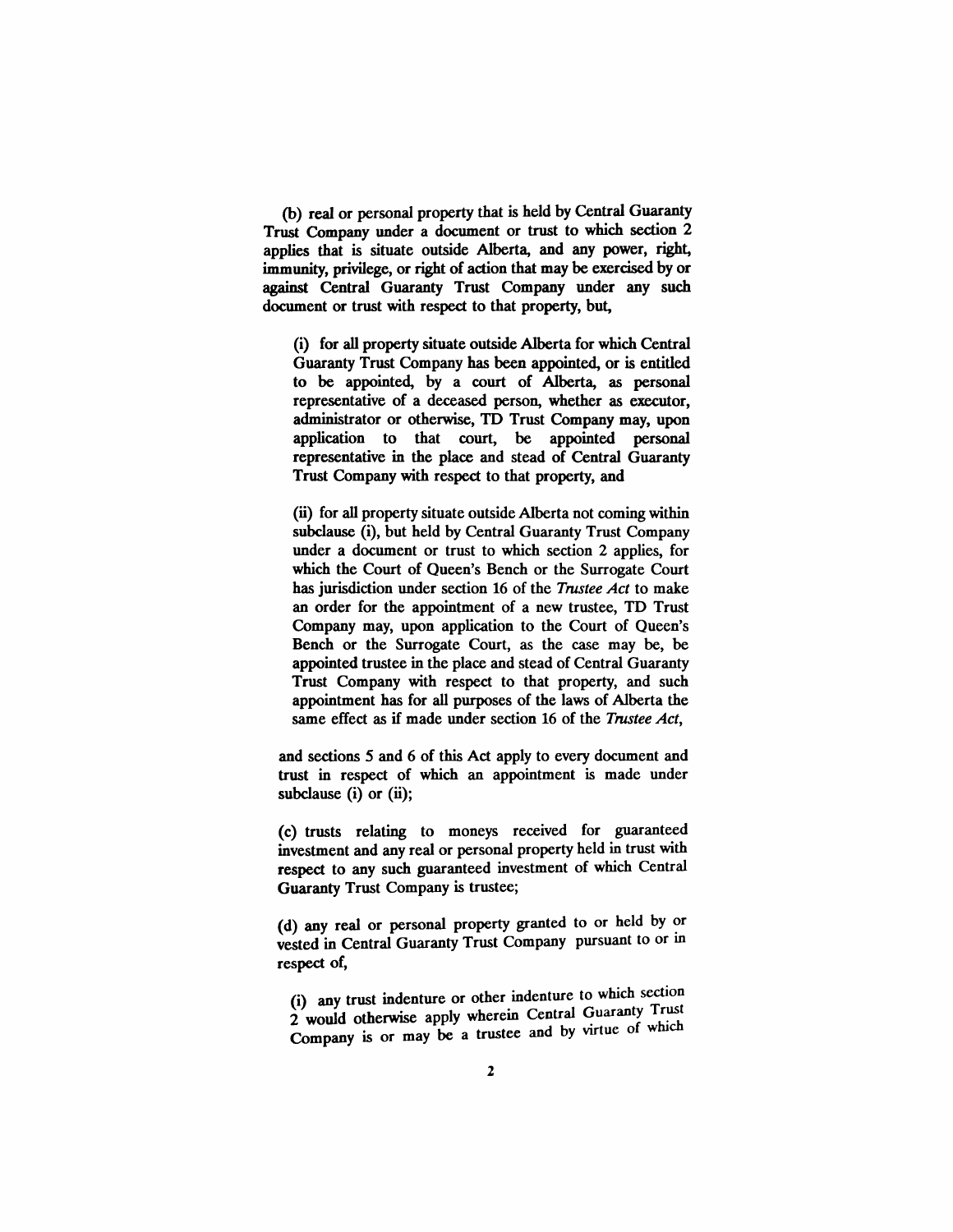(b) real or personal property that is held by Central Guaranty Trust Company under a document or trust to which section 2 applies that is situate outside Alberta, and any power, right, immunity, privilege, or right of action that may be exercised by or against Central Guaranty Trust Company under any such document or trust with respect to that property, but,

(i) for all property situate outside Alberta for which Central Guaranty Trust Company has been appointed, or is entitled to be appointed, by a court of Alberta, as personal representative of a deceased person, whether as executor, administrator or otherwise, TO Trust Company may, upon application to that court, be appointed personal representative in the place and stead of Central Guaranty Trust Company with respect to that property, and

(ii) for all property situate outside Alberta not coming within subclause (i), but held by Central Guaranty Trust Company under a document or trust to which section 2 applies, for which the Court of Queen's Bench or the Surrogate Court has jurisdiction under section 16 of the *Trustee Act* to make an order for the appointment of a new trustee, TO Trust Company may, upon application to the Court of Queen's Bench or the Surrogate Court, as the case may be, be appointed trustee in the place and stead of Central Guaranty Trust Company with respect to that property, and such appointment has for all purposes of the laws of Alberta the same effect as if made under section 16 of the *Trustee Act,*

and sections 5 and 6 of this Act apply to every document and trust in respect of which an appointment is made under subclause  $(i)$  or  $(ii)$ ;

(c) trusts relating to moneys received for guaranteed investment and any real or personal property held in trust with respect to any such guaranteed investment of which Central Guaranty Trust Company is trustee;

(d) any real or personal property granted to or held by or vested in Central Guaranty Trust Company pursuant to or in respect of,

(i) any trust indenture or other indenture to which section 2 would otherwise apply wherein Central Guaranty Trust Company is or may be a trustee and by virtue of which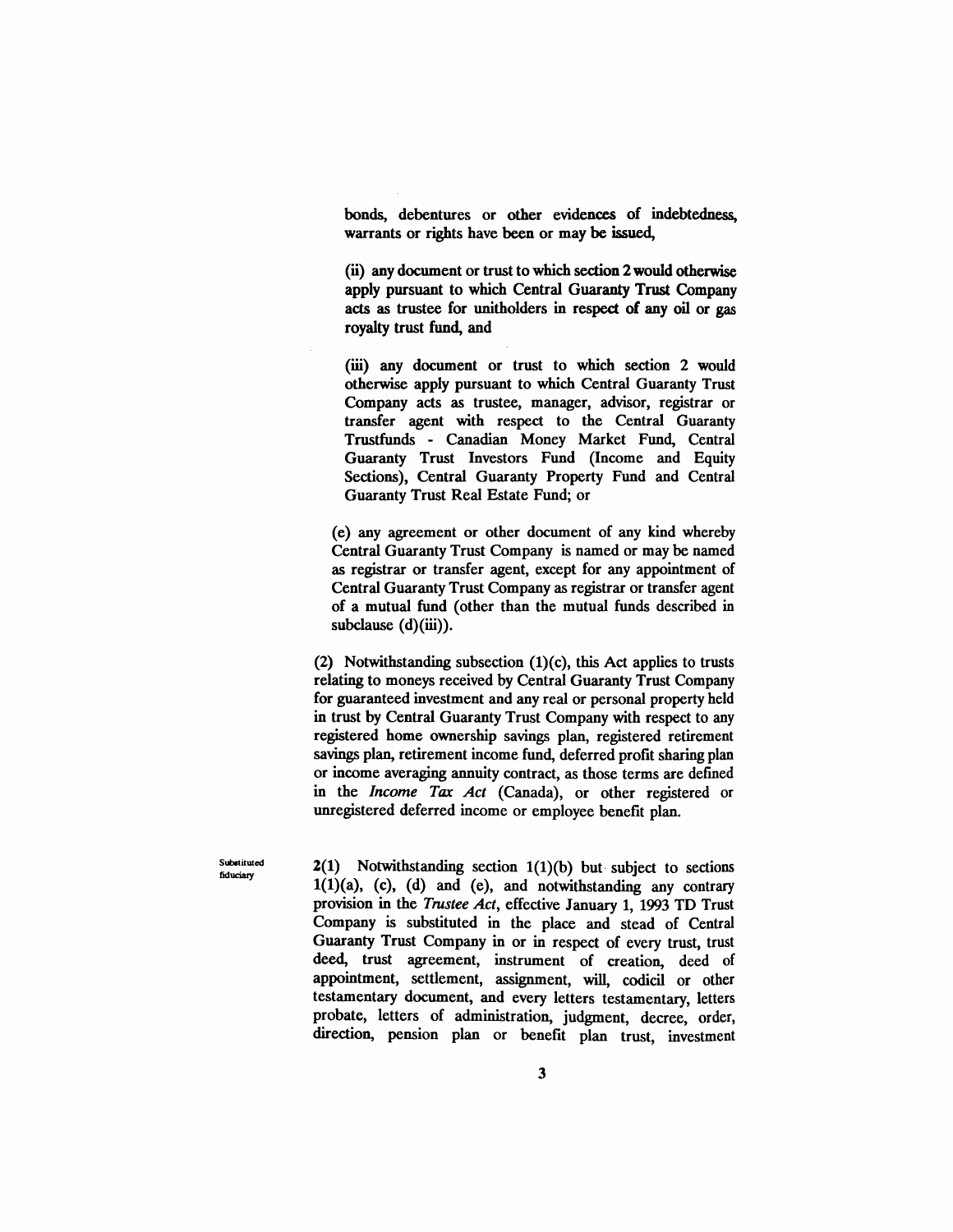bonds, debentures or other evidences of indebtedness, warrants or rights have been or may be issued,

(ii) any document or trust to which section 2 would otherwise apply pursuant to which Central Guaranty Trust Company acts as trustee for unitholders in respect of any oil or gas royalty trust fund, and

(iii) any document or trust to which section 2 would otherwise apply pursuant to which Central Guaranty Trust Company acts as trustee, manager, advisor, registrar or transfer agent with respect to the Central Guaranty Trustfunds - Canadian Money Market Fund, Central Guaranty Trust Investors Fund (Income and Equity Sections), Central Guaranty Property Fund and Central Guaranty Trust Real Estate Fund; or

(e) any agreement or other document of any kind whereby Central Guaranty Trust Company is named or may be named as registrar or transfer agent, except for any appointment of Central Guaranty Trust Company as registrar or transfer agent of a mutual fund (other than the mutual funds described in subclause  $(d)(iii)$ .

(2) Notwithstanding subsection (1)(c), this Act applies to trusts relating to moneys received by Central Guaranty Trust Company for guaranteed investment and any real or personal property held in trust by Central Guaranty Trust Company with respect to any registered home ownership savings plan, registered retirement savings plan, retirement income fund, deferred profit sharing plan or income averaging annuity contract, as those terms are defined in the *Income Tax Act* (Canada), or other registered or unregistered deferred income or employee benefit plan.

Substituted fiduciary

 $2(1)$  Notwithstanding section  $1(1)(b)$  but subject to sections  $1(1)(a)$ ,  $(c)$ ,  $(d)$  and  $(e)$ , and notwithstanding any contrary provision in the *Trustee Act,* effective January 1, 1993 TD Trust Company is substituted in the place and stead of Central Guaranty Trust Company in or in respect of every trust, trust deed, trust agreement, instrument of creation, deed of appointment, settlement, assignment, will, codicil or other testamentary document, and every letters testamentary, letters probate, letters of administration, judgment, decree, order, direction, pension plan or benefit plan trust, investment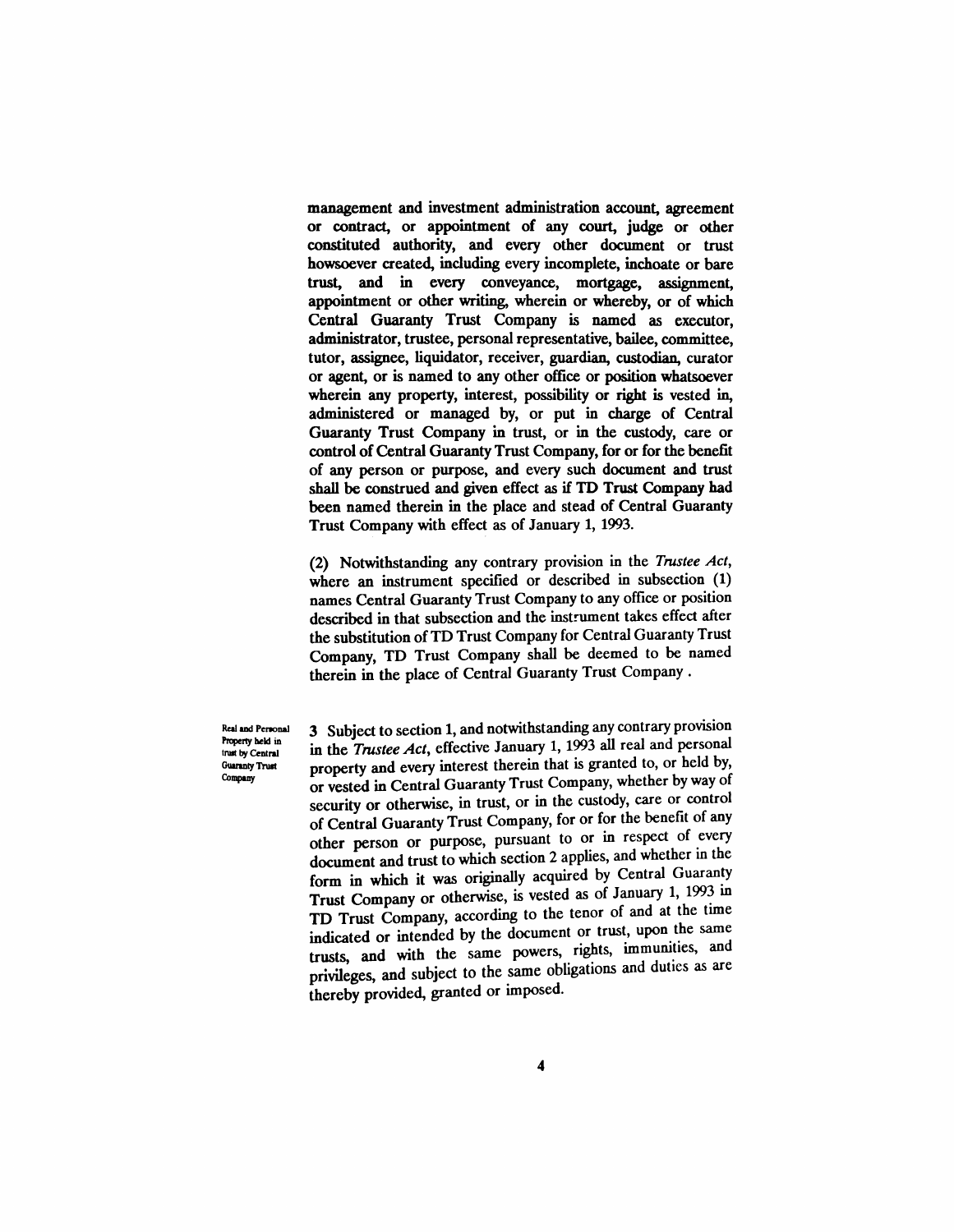management and investment administration account, agreement or contract, or appointment of any court, judge or other constituted authority, and every other document or trust howsoever created, including every incomplete, inchoate or bare trust, and in every conveyance, mortgage, assignment, appointment or other writing, wherein or whereby, or of which Central Guaranty Trust Company is named as executor, administrator, trustee, personal representative, bailee, committee, tutor, assignee, liquidator, receiver, guardian, custodian, curator or agent, or is named to any other office or position whatsoever wherein any property, interest, possibility or right is vested in, administered or managed by, or put in charge of Central Guaranty Trust Company in trust, or in the custody, care or control of Central Guaranty Trust Company, for or for the benefit of any person or purpose, and every such document and trust shall be construed and given effect as if TO Trust Company had been named therein in the place and stead of Central Guaranty Trust Company with effect as of January 1, 1993.

(2) Notwithstanding any contrary provision in the *Trustee Act,* where an instrument specified or described in subsection (1) names Central Guaranty Trust Company to any office or position described in that subsection and the instrument takes effect after the substitution of TD Trust Company for Central Guaranty Trust Company, TD Trust Company shall be deemed to be named therein in the place of Central Guaranty Trust Company.

Real and Penonal Property held in inut by Central Guaranty Trust Company

3 Subject to section 1, and notwithstanding any contrary provision in the *Tmstee Act,* effective January 1, 1993 all real and personal property and every interest therein that is granted to, or held by, or vested in Central Guaranty Trust Company, whether by way of security or otherwise, in trust, or in the custody, care or control of Central Guaranty Trust Company, for or for the benefit of any other person or purpose, pursuant to or in respect of every document and trust to which section 2 applies, and whether in the form in which it was originally acquired by Central Guaranty Trust Company or otherwise, is vested as of January 1, 1993 in TD Trust Company, according to the tenor of and at the time indicated or intended by the document or trust, upon the same trusts, and with the same powers, rights, immunities, and privileges, and subject to the same obligations and duties as are thereby provided, granted or imposed.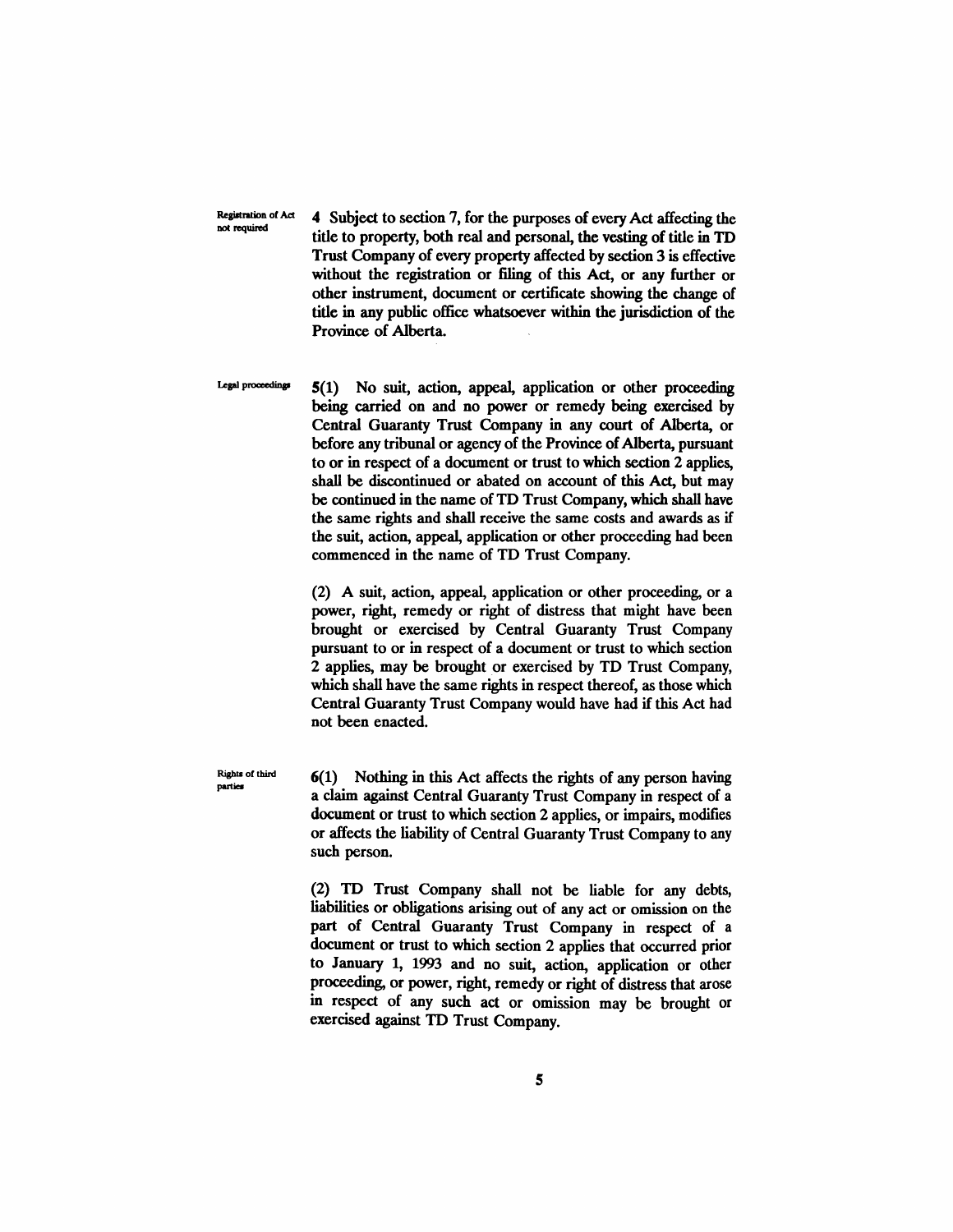Registration of Act not required

4 Subject to section 7, for the purposes of every Act affecting the title to property, both real and personal, the vesting of title in TD Trust Company of every property affected by section 3 is effective without the registration or filing of this Act, or any further or other instrument, document or certificate showing the change of title in any public office whatsoever within the jurisdiction of the Province of Alberta.

Legal proceedings

5(1) No suit, action, appeal, application or other proceeding being carried on and no power or remedy being exercised by Central Guaranty Trust Company in any court of Alberta, or before any tribunal or agency of the Province of Alberta, pursuant to or in respect of a document or trust to which section 2 applies, shall be discontinued or abated on account of this Act, but may be continued in the name of TD Trust Company, which shall have the same rights and shall receive the same costs and awards as if the suit, action, appeal, application or other proceeding had been commenced in the name of TD Trust Company.

(2) A suit, action, appeal, application or other proceeding, or a power, right, remedy or right of distress that might have been brought or exercised by Central Guaranty Trust Company pursuant to or in respect of a document or trust to which section 2 applies, may be brought or exercised by TD Trust Company, which shall have the same rights in respect thereof, as those which Central Guaranty Trust Company would have had if this Act had not been enacted.

6(1) Nothing in this Act affects the rights of any person having a claim against Central Guaranty Trust Company in respect of a document or trust to which section 2 applies, or impairs, modifies or affects the liability of Central Guaranty Trust Company to any such person.

(2) TO Trust Company shall not be liable for any debts, liabilities or obligations arising out of any act or omission on the part of Central Guaranty Trust Company in respect of a document or trust to which section 2 applies that occurred prior to January 1, 1993 and no suit, action, application or other proceeding, or power, right, remedy or right of distress that arose in respect of any such act or omission may be brought or exercised against TO Trust Company.

Rights of third parties